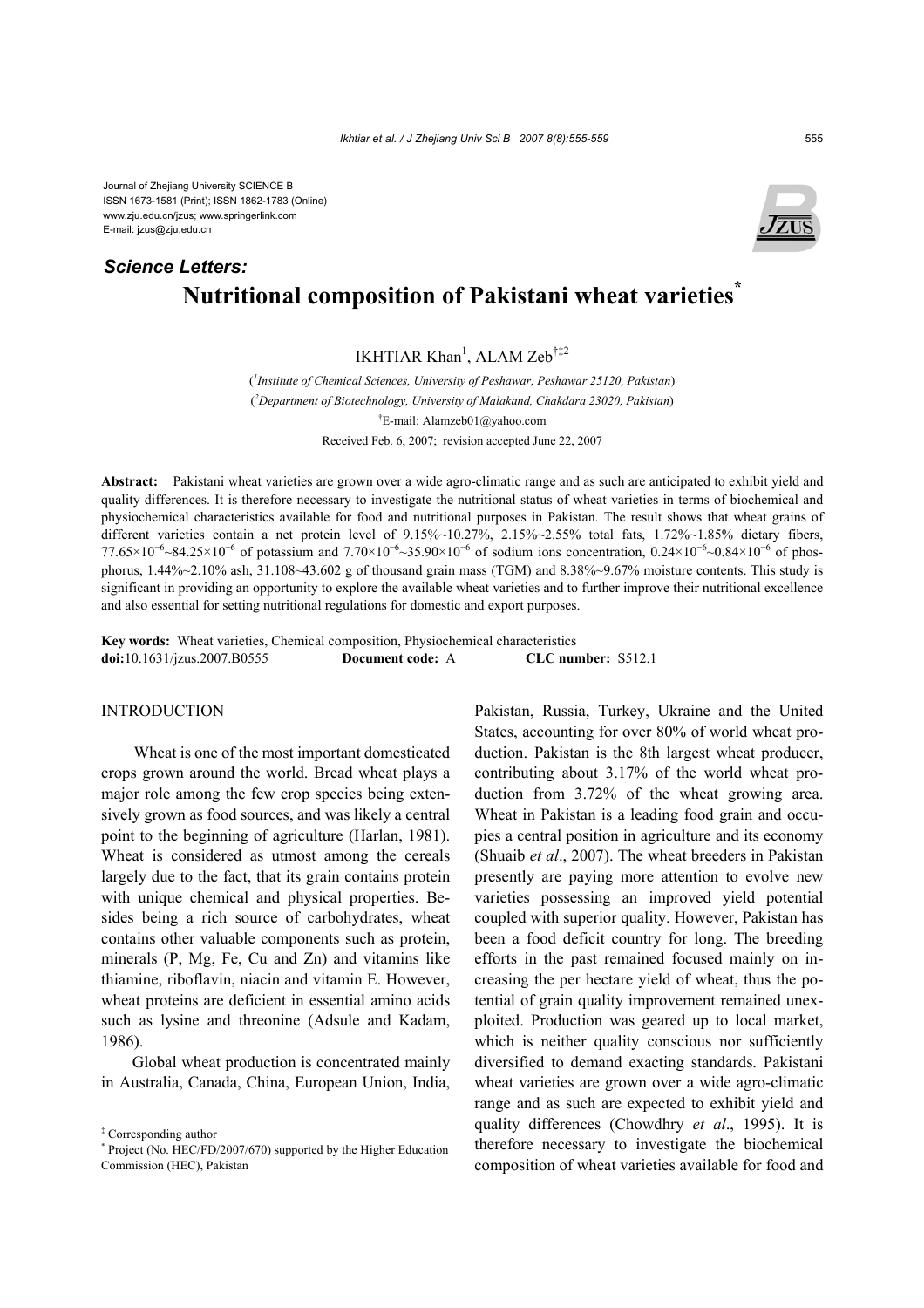Journal of Zhejiang University SCIENCE B ISSN 1673-1581 (Print); ISSN 1862-1783 (Online) www.zju.edu.cn/jzus; www.springerlink.com E-mail: jzus@zju.edu.cn

# **Nutritional composition of Pakistani wheat varieties\*** *Science Letters:*

IKHTIAR Khan<sup>1</sup>, ALAM Zeb<sup>†‡2</sup>

( *1 Institute of Chemical Sciences, University of Peshawar, Peshawar 25120, Pakistan*) ( *2 Department of Biotechnology, University of Malakand, Chakdara 23020, Pakistan*) † E-mail: Alamzeb01@yahoo.com Received Feb. 6, 2007; revision accepted June 22, 2007

**Abstract:** Pakistani wheat varieties are grown over a wide agro-climatic range and as such are anticipated to exhibit yield and quality differences. It is therefore necessary to investigate the nutritional status of wheat varieties in terms of biochemical and physiochemical characteristics available for food and nutritional purposes in Pakistan. The result shows that wheat grains of different varieties contain a net protein level of 9.15%~10.27%, 2.15%~2.55% total fats, 1.72%~1.85% dietary fibers, 77.65×10<sup>-6</sup> ~84.25×10<sup>-6</sup> of potassium and 7.70×10<sup>-6</sup> ~35.90×10<sup>-6</sup> of sodium ions concentration, 0.24×10<sup>-6</sup> ~0.84×10<sup>-6</sup> of phosphorus,  $1.44\% \sim 2.10\%$  ash,  $31.108 \sim 43.602$  g of thousand grain mass (TGM) and  $8.38\% \sim 9.67\%$  moisture contents. This study is significant in providing an opportunity to explore the available wheat varieties and to further improve their nutritional excellence and also essential for setting nutritional regulations for domestic and export purposes.

**Key words:** Wheat varieties, Chemical composition, Physiochemical characteristics **doi:**10.1631/jzus.2007.B0555 **Document code:** A **CLC number:** S512.1

# **INTRODUCTION**

Wheat is one of the most important domesticated crops grown around the world. Bread wheat plays a major role among the few crop species being extensively grown as food sources, and was likely a central point to the beginning of agriculture (Harlan, 1981). Wheat is considered as utmost among the cereals largely due to the fact, that its grain contains protein with unique chemical and physical properties. Besides being a rich source of carbohydrates, wheat contains other valuable components such as protein, minerals (P, Mg, Fe, Cu and Zn) and vitamins like thiamine, riboflavin, niacin and vitamin E. However, wheat proteins are deficient in essential amino acids such as lysine and threonine (Adsule and Kadam, 1986).

Global wheat production is concentrated mainly in Australia, Canada, China, European Union, India, Pakistan, Russia, Turkey, Ukraine and the United States, accounting for over 80% of world wheat production. Pakistan is the 8th largest wheat producer, contributing about 3.17% of the world wheat production from 3.72% of the wheat growing area. Wheat in Pakistan is a leading food grain and occupies a central position in agriculture and its economy (Shuaib *et al*., 2007). The wheat breeders in Pakistan presently are paying more attention to evolve new varieties possessing an improved yield potential coupled with superior quality. However, Pakistan has been a food deficit country for long. The breeding efforts in the past remained focused mainly on increasing the per hectare yield of wheat, thus the potential of grain quality improvement remained unexploited. Production was geared up to local market, which is neither quality conscious nor sufficiently diversified to demand exacting standards. Pakistani wheat varieties are grown over a wide agro-climatic range and as such are expected to exhibit yield and quality differences (Chowdhry *et al*., 1995). It is therefore necessary to investigate the biochemical composition of wheat varieties available for food and



<sup>‡</sup> Corresponding author

<sup>\*</sup> Project (No. HEC/FD/2007/670) supported by the Higher Education Commission (HEC), Pakistan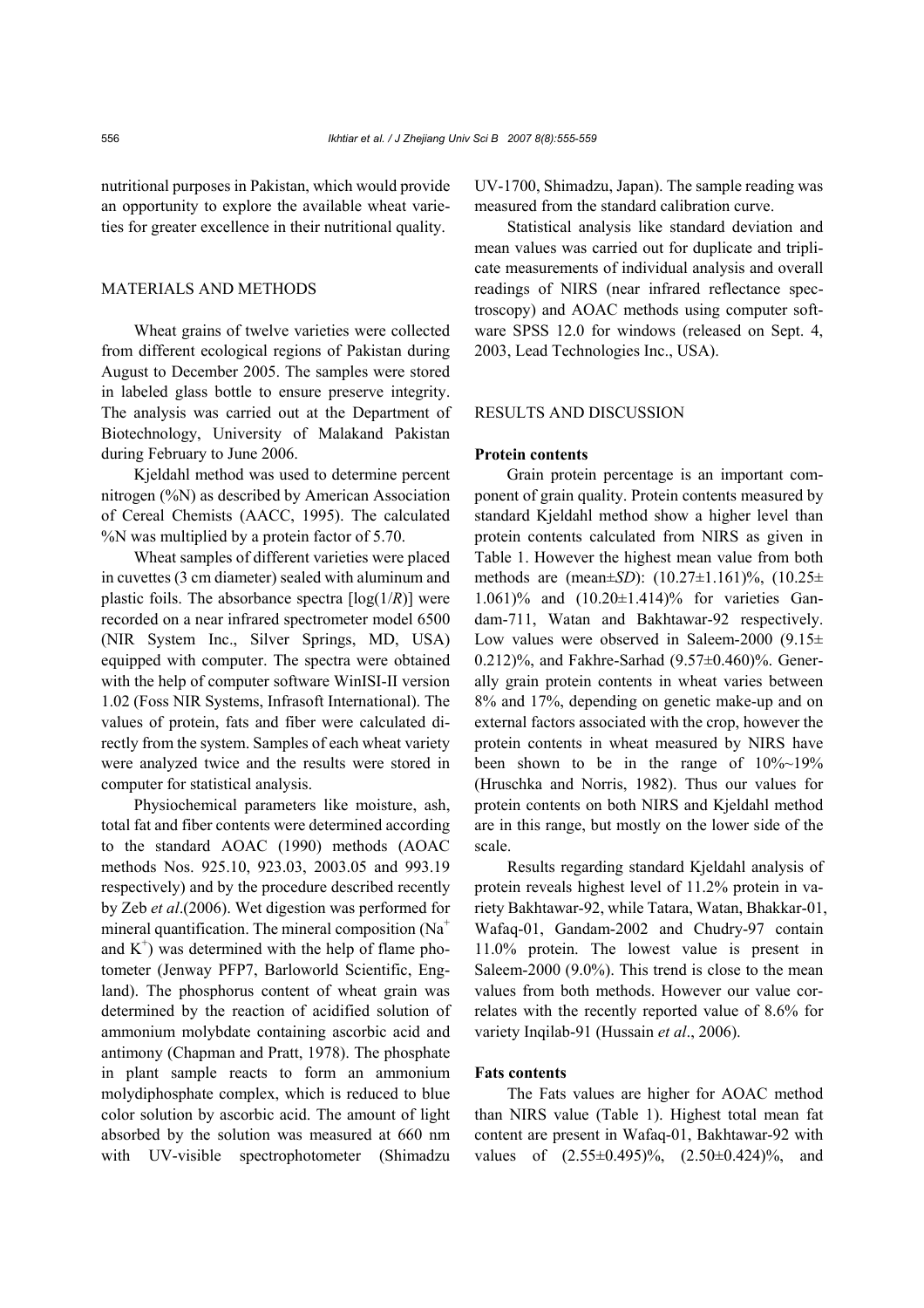nutritional purposes in Pakistan, which would provide an opportunity to explore the available wheat varieties for greater excellence in their nutritional quality.

# MATERIALS AND METHODS

Wheat grains of twelve varieties were collected from different ecological regions of Pakistan during August to December 2005. The samples were stored in labeled glass bottle to ensure preserve integrity. The analysis was carried out at the Department of Biotechnology, University of Malakand Pakistan during February to June 2006.

Kjeldahl method was used to determine percent nitrogen (%N) as described by American Association of Cereal Chemists (AACC, 1995). The calculated %N was multiplied by a protein factor of 5.70.

Wheat samples of different varieties were placed in cuvettes (3 cm diameter) sealed with aluminum and plastic foils. The absorbance spectra  $\lceil log(1/R) \rceil$  were recorded on a near infrared spectrometer model 6500 (NIR System Inc., Silver Springs, MD, USA) equipped with computer. The spectra were obtained with the help of computer software WinISI-II version 1.02 (Foss NIR Systems, Infrasoft International). The values of protein, fats and fiber were calculated directly from the system. Samples of each wheat variety were analyzed twice and the results were stored in computer for statistical analysis.

Physiochemical parameters like moisture, ash, total fat and fiber contents were determined according to the standard AOAC (1990) methods (AOAC methods Nos. 925.10, 923.03, 2003.05 and 993.19 respectively) and by the procedure described recently by Zeb *et al*.(2006). Wet digestion was performed for mineral quantification. The mineral composition  $(Na^+$ and  $K^+$ ) was determined with the help of flame photometer (Jenway PFP7, Barloworld Scientific, England). The phosphorus content of wheat grain was determined by the reaction of acidified solution of ammonium molybdate containing ascorbic acid and antimony (Chapman and Pratt, 1978). The phosphate in plant sample reacts to form an ammonium molydiphosphate complex, which is reduced to blue color solution by ascorbic acid. The amount of light absorbed by the solution was measured at 660 nm with UV-visible spectrophotometer (Shimadzu

UV-1700, Shimadzu, Japan). The sample reading was measured from the standard calibration curve.

Statistical analysis like standard deviation and mean values was carried out for duplicate and triplicate measurements of individual analysis and overall readings of NIRS (near infrared reflectance spectroscopy) and AOAC methods using computer software SPSS 12.0 for windows (released on Sept. 4, 2003, Lead Technologies Inc., USA).

## RESULTS AND DISCUSSION

#### **Protein contents**

Grain protein percentage is an important component of grain quality. Protein contents measured by standard Kjeldahl method show a higher level than protein contents calculated from NIRS as given in Table 1. However the highest mean value from both methods are (mean±*SD*): (10.27±1.161)%, (10.25± 1.061)% and (10.20±1.414)% for varieties Gandam-711, Watan and Bakhtawar-92 respectively. Low values were observed in Saleem-2000 (9.15 $\pm$ 0.212)%, and Fakhre-Sarhad (9.57±0.460)%. Generally grain protein contents in wheat varies between 8% and 17%, depending on genetic make-up and on external factors associated with the crop, however the protein contents in wheat measured by NIRS have been shown to be in the range of 10%~19% (Hruschka and Norris, 1982). Thus our values for protein contents on both NIRS and Kjeldahl method are in this range, but mostly on the lower side of the scale.

Results regarding standard Kjeldahl analysis of protein reveals highest level of 11.2% protein in variety Bakhtawar-92, while Tatara, Watan, Bhakkar-01, Wafaq-01, Gandam-2002 and Chudry-97 contain 11.0% protein. The lowest value is present in Saleem-2000 (9.0%). This trend is close to the mean values from both methods. However our value correlates with the recently reported value of 8.6% for variety Inqilab-91 (Hussain *et al*., 2006).

## **Fats contents**

The Fats values are higher for AOAC method than NIRS value (Table 1). Highest total mean fat content are present in Wafaq-01, Bakhtawar-92 with values of (2.55±0.495)%, (2.50±0.424)%, and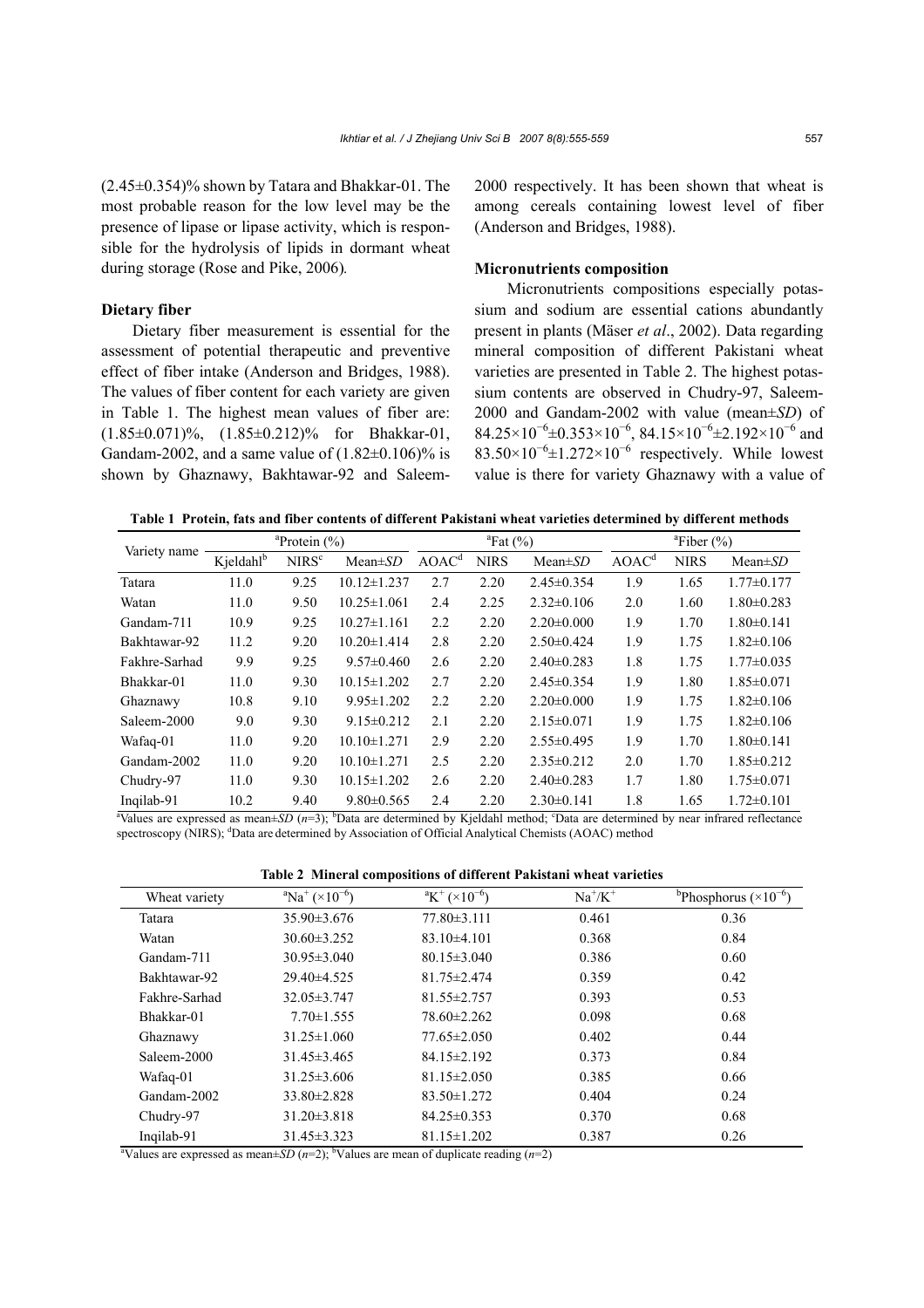(2.45±0.354)% shown by Tatara and Bhakkar-01. The most probable reason for the low level may be the presence of lipase or lipase activity, which is responsible for the hydrolysis of lipids in dormant wheat during storage (Rose and Pike, 2006)*.* 

# **Dietary fiber**

Dietary fiber measurement is essential for the assessment of potential therapeutic and preventive effect of fiber intake (Anderson and Bridges, 1988). The values of fiber content for each variety are given in Table 1. The highest mean values of fiber are: (1.85±0.071)%, (1.85±0.212)% for Bhakkar-01, Gandam-2002, and a same value of  $(1.82\pm0.106)\%$  is shown by Ghaznawy, Bakhtawar-92 and Saleem2000 respectively. It has been shown that wheat is among cereals containing lowest level of fiber (Anderson and Bridges, 1988).

#### **Micronutrients composition**

Micronutrients compositions especially potassium and sodium are essential cations abundantly present in plants (Mäser *et al*., 2002). Data regarding mineral composition of different Pakistani wheat varieties are presented in Table 2. The highest potassium contents are observed in Chudry-97, Saleem-2000 and Gandam-2002 with value (mean±*SD*) of  $84.25\times10^{-6} \pm 0.353\times10^{-6}$ ,  $84.15\times10^{-6} \pm 2.192\times10^{-6}$  and  $83.50\times10^{-6}$  ±1.272×10<sup>-6</sup> respectively. While lowest value is there for variety Ghaznawy with a value of

**Table 1 Protein, fats and fiber contents of different Pakistani wheat varieties determined by different methods** 

| Variety name  | <sup>a</sup> Protein $(\% )$ |                   |                   | ${}^{\text{a}}$ Fat (%) |             |                  | ${}^{\text{a}}$ Fiber (%) |             |                  |
|---------------|------------------------------|-------------------|-------------------|-------------------------|-------------|------------------|---------------------------|-------------|------------------|
|               | Kjeldahl <sup>b</sup>        | NIRS <sup>c</sup> | $Mean \pm SD$     | AOAC <sup>d</sup>       | <b>NIRS</b> | $Mean \pm SD$    | AOAC <sup>d</sup>         | <b>NIRS</b> | Mean $\pm SD$    |
| Tatara        | 11.0                         | 9.25              | $10.12 \pm 1.237$ | 2.7                     | 2.20        | $2.45 \pm 0.354$ | 1.9                       | 1.65        | $1.77 \pm 0.177$ |
| Watan         | 11.0                         | 9.50              | $10.25 \pm 1.061$ | 2.4                     | 2.25        | $2.32\pm0.106$   | 2.0                       | 1.60        | $1.80 \pm 0.283$ |
| Gandam-711    | 10.9                         | 9.25              | $10.27 \pm 1.161$ | 2.2                     | 2.20        | $2.20\pm0.000$   | 1.9                       | 1.70        | $1.80 \pm 0.141$ |
| Bakhtawar-92  | 11.2                         | 9.20              | $10.20 \pm 1.414$ | 2.8                     | 2.20        | $2.50\pm0.424$   | 1.9                       | 1.75        | $1.82 \pm 0.106$ |
| Fakhre-Sarhad | 9.9                          | 9.25              | $9.57 \pm 0.460$  | 2.6                     | 2.20        | $2.40\pm0.283$   | 1.8                       | 1.75        | $1.77 \pm 0.035$ |
| Bhakkar-01    | 11.0                         | 9.30              | $10.15 \pm 1.202$ | 2.7                     | 2.20        | $2.45 \pm 0.354$ | 1.9                       | 1.80        | $1.85 \pm 0.071$ |
| Ghaznawy      | 10.8                         | 9.10              | $9.95 \pm 1.202$  | 2.2                     | 2.20        | $2.20\pm0.000$   | 1.9                       | 1.75        | $1.82 \pm 0.106$ |
| Saleem-2000   | 9.0                          | 9.30              | $9.15 \pm 0.212$  | 2.1                     | 2.20        | $2.15 \pm 0.071$ | 1.9                       | 1.75        | $1.82 \pm 0.106$ |
| Wafaq-01      | 11.0                         | 9.20              | $10.10 \pm 1.271$ | 2.9                     | 2.20        | $2.55 \pm 0.495$ | 1.9                       | 1.70        | $1.80 \pm 0.141$ |
| Gandam-2002   | 11.0                         | 9.20              | $10.10 \pm 1.271$ | 2.5                     | 2.20        | $2.35 \pm 0.212$ | 2.0                       | 1.70        | $1.85 \pm 0.212$ |
| Chudry-97     | 11.0                         | 9.30              | $10.15 \pm 1.202$ | 2.6                     | 2.20        | $2.40\pm0.283$   | 1.7                       | 1.80        | $1.75 \pm 0.071$ |
| Ingilab-91    | 10.2                         | 9.40              | $9.80 \pm 0.565$  | 2.4                     | 2.20        | $2.30\pm0.141$   | 1.8                       | 1.65        | $1.72 \pm 0.101$ |

 $^4$ Values are expressed as mean±*SD* ( $n=3$ ); <sup>b</sup>Data are determined by Kjeldahl method; <sup>c</sup>Data are determined by near infrared reflectance spectroscopy (NIRS); <sup>d</sup>Data are determined by Association of Official Analytical Chemists (AOAC) method

**Table 2 Mineral compositions of different Pakistani wheat varieties** 

| Wheat variety                                                                                                       | $\mathrm{aNa^{+}}\left(\times10^{-6}\right)$ | $\mathrm{R}^+$ (×10 <sup>-6</sup> ) | $Na^{\dagger}/K^{\dagger}$ | <sup>b</sup> Phosphorus ( $\times$ 10 <sup>-6</sup> ) |  |  |
|---------------------------------------------------------------------------------------------------------------------|----------------------------------------------|-------------------------------------|----------------------------|-------------------------------------------------------|--|--|
| Tatara                                                                                                              | $35.90 \pm 3.676$                            | $77.80 \pm 3.111$                   | 0.461                      | 0.36                                                  |  |  |
| Watan                                                                                                               | $30.60 \pm 3.252$                            | $83.10\pm4.101$                     | 0.368                      | 0.84                                                  |  |  |
| Gandam-711                                                                                                          | $30.95 \pm 3.040$                            | $80.15 \pm 3.040$                   | 0.386                      | 0.60                                                  |  |  |
| Bakhtawar-92                                                                                                        | $29.40 \pm 4.525$                            | $81.75 \pm 2.474$                   | 0.359                      | 0.42                                                  |  |  |
| Fakhre-Sarhad                                                                                                       | $32.05 \pm 3.747$                            | $81.55 \pm 2.757$                   | 0.393                      | 0.53                                                  |  |  |
| Bhakkar-01                                                                                                          | $7.70 \pm 1.555$                             | 78.60 ± 2.262                       | 0.098                      | 0.68                                                  |  |  |
| Ghaznawy                                                                                                            | $31.25 \pm 1.060$                            | $77.65 \pm 2.050$                   | 0.402                      | 0.44                                                  |  |  |
| Saleem-2000                                                                                                         | $31.45 \pm 3.465$                            | $84.15 \pm 2.192$                   | 0.373                      | 0.84                                                  |  |  |
| Wafaq-01                                                                                                            | $31.25 \pm 3.606$                            | $81.15 \pm 2.050$                   | 0.385                      | 0.66                                                  |  |  |
| Gandam-2002                                                                                                         | $33.80 \pm 2.828$                            | $83.50 \pm 1.272$                   | 0.404                      | 0.24                                                  |  |  |
| Chudry-97                                                                                                           | $31.20 \pm 3.818$                            | $84.25 \pm 0.353$                   | 0.370                      | 0.68                                                  |  |  |
| Inqilab-91                                                                                                          | $31.45 \pm 3.323$                            | $81.15 \pm 1.202$                   | 0.387                      | 0.26                                                  |  |  |
| <sup>a</sup> Values are expressed as mean $\pm SD(n=2)$ ; <sup>b</sup> Values are mean of duplicate reading $(n=2)$ |                                              |                                     |                            |                                                       |  |  |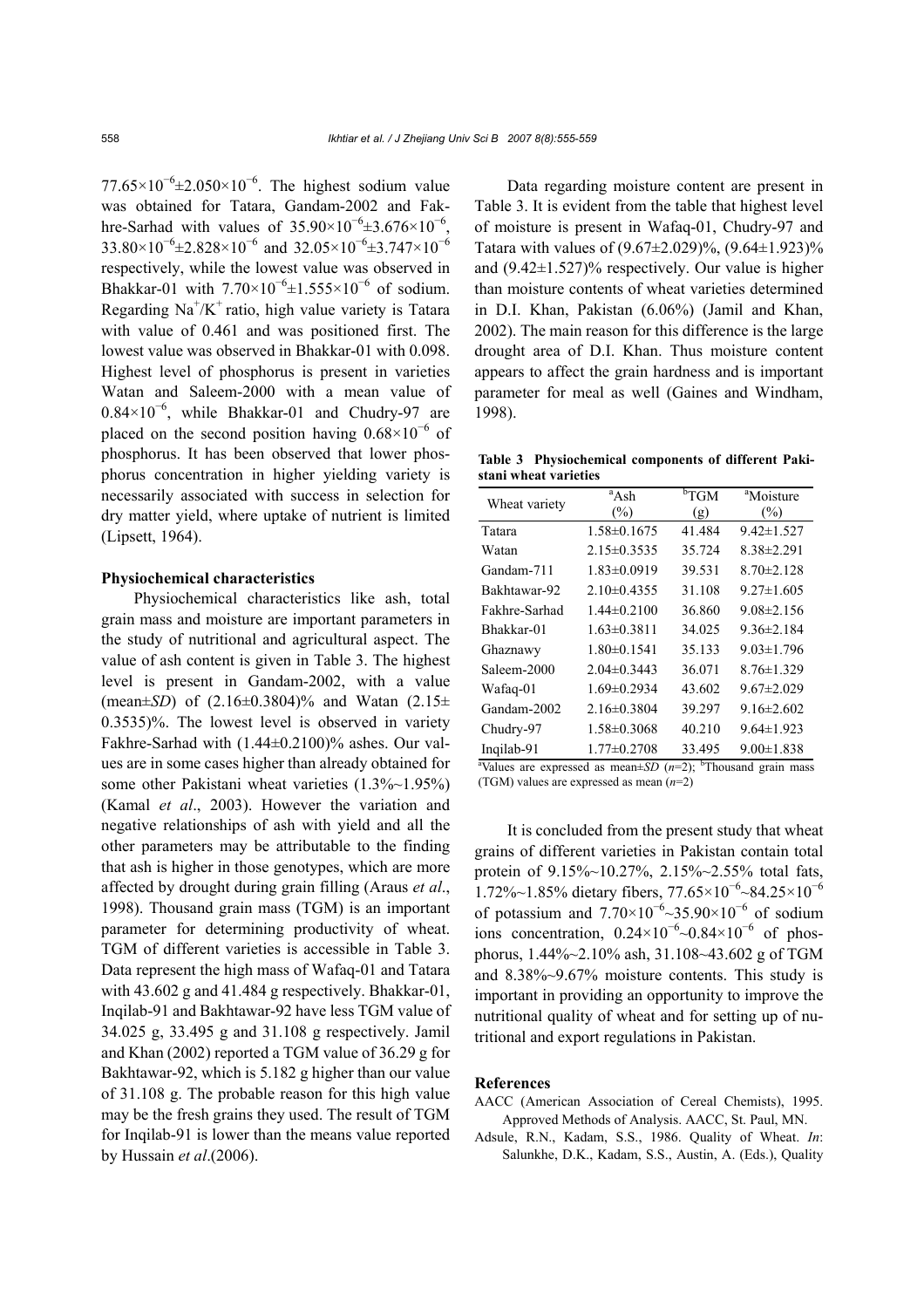77.65×10<sup>-6</sup>±2.050×10<sup>-6</sup>. The highest sodium value was obtained for Tatara, Gandam-2002 and Fakhre-Sarhad with values of  $35.90 \times 10^{-6} \pm 3.676 \times 10^{-6}$ ,  $33.80\times10^{-6}$ ±2.828×10<sup>-6</sup> and 32.05×10<sup>-6</sup>±3.747×10<sup>-6</sup> respectively, while the lowest value was observed in Bhakkar-01 with  $7.70 \times 10^{-6} \pm 1.555 \times 10^{-6}$  of sodium. Regarding  $\text{Na}^+/K^+$  ratio, high value variety is Tatara with value of 0.461 and was positioned first. The lowest value was observed in Bhakkar-01 with 0.098. Highest level of phosphorus is present in varieties Watan and Saleem-2000 with a mean value of 0.84×10<sup>−</sup><sup>6</sup> , while Bhakkar-01 and Chudry-97 are placed on the second position having  $0.68 \times 10^{-6}$  of phosphorus. It has been observed that lower phosphorus concentration in higher yielding variety is necessarily associated with success in selection for dry matter yield, where uptake of nutrient is limited (Lipsett, 1964).

#### **Physiochemical characteristics**

Physiochemical characteristics like ash, total grain mass and moisture are important parameters in the study of nutritional and agricultural aspect. The value of ash content is given in Table 3. The highest level is present in Gandam-2002, with a value (mean $\pm SD$ ) of  $(2.16\pm 0.3804)\%$  and Watan  $(2.15\pm 0.3804)\%$ 0.3535)%. The lowest level is observed in variety Fakhre-Sarhad with (1.44±0.2100)% ashes. Our values are in some cases higher than already obtained for some other Pakistani wheat varieties  $(1.3\%~1.95\%)$ (Kamal *et al*., 2003). However the variation and negative relationships of ash with yield and all the other parameters may be attributable to the finding that ash is higher in those genotypes, which are more affected by drought during grain filling (Araus *et al*., 1998). Thousand grain mass (TGM) is an important parameter for determining productivity of wheat. TGM of different varieties is accessible in Table 3. Data represent the high mass of Wafaq-01 and Tatara with 43.602 g and 41.484 g respectively. Bhakkar-01, Inqilab-91 and Bakhtawar-92 have less TGM value of 34.025 g, 33.495 g and 31.108 g respectively. Jamil and Khan (2002) reported a TGM value of 36.29 g for Bakhtawar-92, which is 5.182 g higher than our value of 31.108 g. The probable reason for this high value may be the fresh grains they used. The result of TGM for Inqilab-91 is lower than the means value reported by Hussain *et al*.(2006).

Data regarding moisture content are present in Table 3. It is evident from the table that highest level of moisture is present in Wafaq-01, Chudry-97 and Tatara with values of  $(9.67 \pm 2.029)\%$ ,  $(9.64 \pm 1.923)\%$ and  $(9.42\pm1.527)\%$  respectively. Our value is higher than moisture contents of wheat varieties determined in D.I. Khan, Pakistan (6.06%) (Jamil and Khan, 2002). The main reason for this difference is the large drought area of D.I. Khan. Thus moisture content appears to affect the grain hardness and is important parameter for meal as well (Gaines and Windham, 1998).

**Table 3 Physiochemical components of different Pakistani wheat varieties** 

| Wheat variety | <sup>a</sup> Ash  | ${}^{b}TGM$ | <sup>a</sup> Moisture |
|---------------|-------------------|-------------|-----------------------|
|               | (%)               | (g)         | $(\%)$                |
| Tatara        | 1.58±0.1675       | 41.484      | $9.42 \pm 1.527$      |
| Watan         | $2.15 \pm 0.3535$ | 35.724      | $8.38 \pm 2.291$      |
| Gandam-711    | $1.83 \pm 0.0919$ | 39.531      | $8.70 \pm 2.128$      |
| Bakhtawar-92  | $2.10\pm 0.4355$  | 31.108      | $9.27 \pm 1.605$      |
| Fakhre-Sarhad | $1.44\pm 0.2100$  | 36.860      | $9.08\pm2.156$        |
| Bhakkar-01    | $1.63 \pm 0.3811$ | 34.025      | $9.36 \pm 2.184$      |
| Ghaznawy      | $1.80 \pm 0.1541$ | 35.133      | $9.03 \pm 1.796$      |
| Saleem-2000   | $2.04\pm 0.3443$  | 36.071      | $8.76 \pm 1.329$      |
| Wafaq-01      | $1.69 \pm 0.2934$ | 43.602      | $9.67 \pm 2.029$      |
| Gandam-2002   | $2.16\pm 0.3804$  | 39.297      | $9.16 \pm 2.602$      |
| Chudry-97     | $1.58 \pm 0.3068$ | 40.210      | $9.64 \pm 1.923$      |
| Inqilab-91    | $1.77 \pm 0.2708$ | 33.495      | $9.00 \pm 1.838$      |

<sup>a</sup>Values are expressed as mean $\pm SD$  ( $n=2$ ); <sup>b</sup>Thousand grain mass (TGM) values are expressed as mean (*n*=2)

It is concluded from the present study that wheat grains of different varieties in Pakistan contain total protein of 9.15%~10.27%, 2.15%~2.55% total fats, 1.72%~1.85% dietary fibers, 77.65×10<sup>-6</sup>~84.25×10<sup>-6</sup> of potassium and  $7.70\times10^{-6}$  ~35.90×10<sup>-6</sup> of sodium ions concentration,  $0.24 \times 10^{-6} \sim 0.84 \times 10^{-6}$  of phosphorus, 1.44%~2.10% ash, 31.108~43.602 g of TGM and 8.38%~9.67% moisture contents. This study is important in providing an opportunity to improve the nutritional quality of wheat and for setting up of nutritional and export regulations in Pakistan.

#### **References**

- AACC (American Association of Cereal Chemists), 1995. Approved Methods of Analysis. AACC, St. Paul, MN.
- Adsule, R.N., Kadam, S.S., 1986. Quality of Wheat. *In*: Salunkhe, D.K., Kadam, S.S., Austin, A. (Eds.), Quality